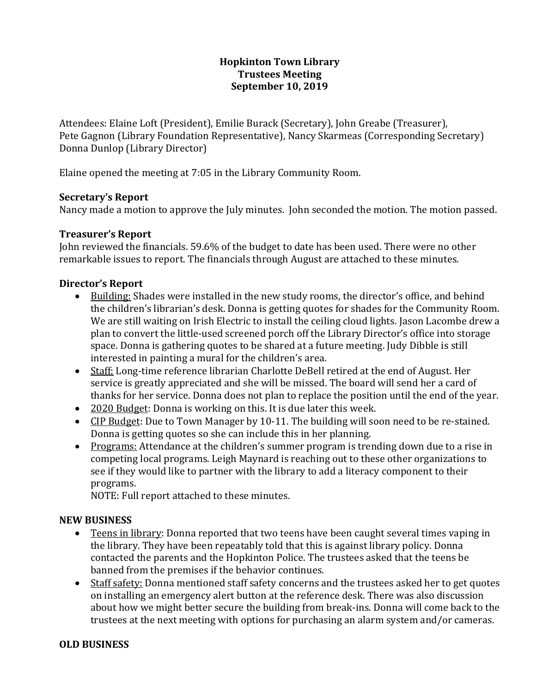# **Hopkinton Town Library Trustees Meeting September 10, 2019**

Attendees: Elaine Loft (President), Emilie Burack (Secretary), John Greabe (Treasurer), Pete Gagnon (Library Foundation Representative), Nancy Skarmeas (Corresponding Secretary) Donna Dunlop (Library Director)

Elaine opened the meeting at 7:05 in the Library Community Room.

# **Secretary's Report**

Nancy made a motion to approve the July minutes. John seconded the motion. The motion passed.

# **Treasurer's Report**

John reviewed the financials. 59.6% of the budget to date has been used. There were no other remarkable issues to report. The financials through August are attached to these minutes.

# **Director's Report**

- Building: Shades were installed in the new study rooms, the director's office, and behind the children's librarian's desk. Donna is getting quotes for shades for the Community Room. We are still waiting on Irish Electric to install the ceiling cloud lights. Jason Lacombe drew a plan to convert the little-used screened porch off the Library Director's office into storage space. Donna is gathering quotes to be shared at a future meeting. Judy Dibble is still interested in painting a mural for the children's area.
- Staff: Long-time reference librarian Charlotte DeBell retired at the end of August. Her service is greatly appreciated and she will be missed. The board will send her a card of thanks for her service. Donna does not plan to replace the position until the end of the year.
- 2020 Budget: Donna is working on this. It is due later this week.
- CIP Budget: Due to Town Manager by 10-11. The building will soon need to be re-stained. Donna is getting quotes so she can include this in her planning.
- Programs: Attendance at the children's summer program is trending down due to a rise in competing local programs. Leigh Maynard is reaching out to these other organizations to see if they would like to partner with the library to add a literacy component to their programs.

NOTE: Full report attached to these minutes.

### **NEW BUSINESS**

- Teens in library: Donna reported that two teens have been caught several times vaping in the library. They have been repeatably told that this is against library policy. Donna contacted the parents and the Hopkinton Police. The trustees asked that the teens be banned from the premises if the behavior continues.
- Staff safety: Donna mentioned staff safety concerns and the trustees asked her to get quotes on installing an emergency alert button at the reference desk. There was also discussion about how we might better secure the building from break-ins. Donna will come back to the trustees at the next meeting with options for purchasing an alarm system and/or cameras.

### **OLD BUSINESS**